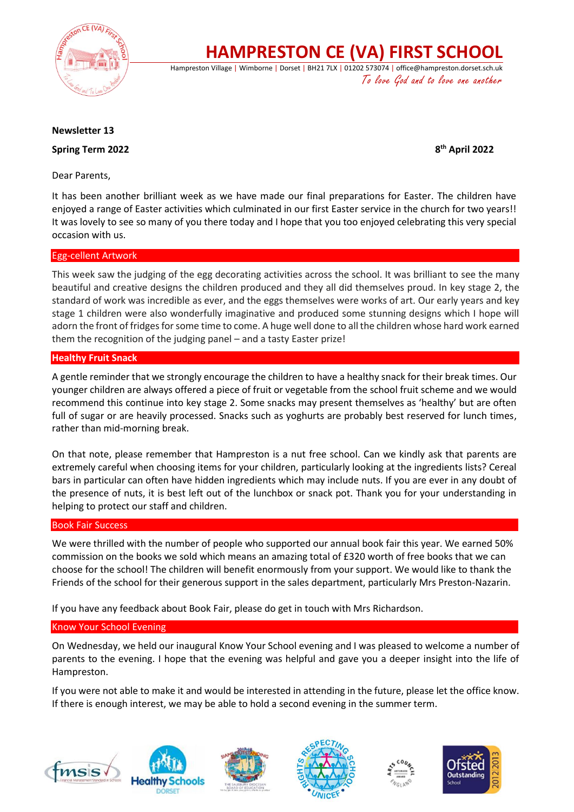

**HAMPRESTON CE (VA) FIRST SCHOOL**

Hampreston Village | Wimborne | Dorset | BH21 7LX | 01202 573074 | office@hampreston.dorset.sch.uk To love God and to love one another

### **Newsletter 13**

**Spring Term 2022** 

**th April 2022**

Dear Parents,

It has been another brilliant week as we have made our final preparations for Easter. The children have enjoyed a range of Easter activities which culminated in our first Easter service in the church for two years!! It was lovely to see so many of you there today and I hope that you too enjoyed celebrating this very special occasion with us.

### Egg-cellent Artwork

This week saw the judging of the egg decorating activities across the school. It was brilliant to see the many beautiful and creative designs the children produced and they all did themselves proud. In key stage 2, the standard of work was incredible as ever, and the eggs themselves were works of art. Our early years and key stage 1 children were also wonderfully imaginative and produced some stunning designs which I hope will adorn the front of fridges for some time to come. A huge well done to all the children whose hard work earned them the recognition of the judging panel – and a tasty Easter prize!

## **Healthy Fruit Snack**

A gentle reminder that we strongly encourage the children to have a healthy snack for their break times. Our younger children are always offered a piece of fruit or vegetable from the school fruit scheme and we would recommend this continue into key stage 2. Some snacks may present themselves as 'healthy' but are often full of sugar or are heavily processed. Snacks such as yoghurts are probably best reserved for lunch times, rather than mid-morning break.

On that note, please remember that Hampreston is a nut free school. Can we kindly ask that parents are extremely careful when choosing items for your children, particularly looking at the ingredients lists? Cereal bars in particular can often have hidden ingredients which may include nuts. If you are ever in any doubt of the presence of nuts, it is best left out of the lunchbox or snack pot. Thank you for your understanding in helping to protect our staff and children.

### Book Fair Success

We were thrilled with the number of people who supported our annual book fair this year. We earned 50% commission on the books we sold which means an amazing total of £320 worth of free books that we can choose for the school! The children will benefit enormously from your support. We would like to thank the Friends of the school for their generous support in the sales department, particularly Mrs Preston-Nazarin.

If you have any feedback about Book Fair, please do get in touch with Mrs Richardson.

### Know Your School Evening

On Wednesday, we held our inaugural Know Your School evening and I was pleased to welcome a number of parents to the evening. I hope that the evening was helpful and gave you a deeper insight into the life of Hampreston.

If you were not able to make it and would be interested in attending in the future, please let the office know. If there is enough interest, we may be able to hold a second evening in the summer term.









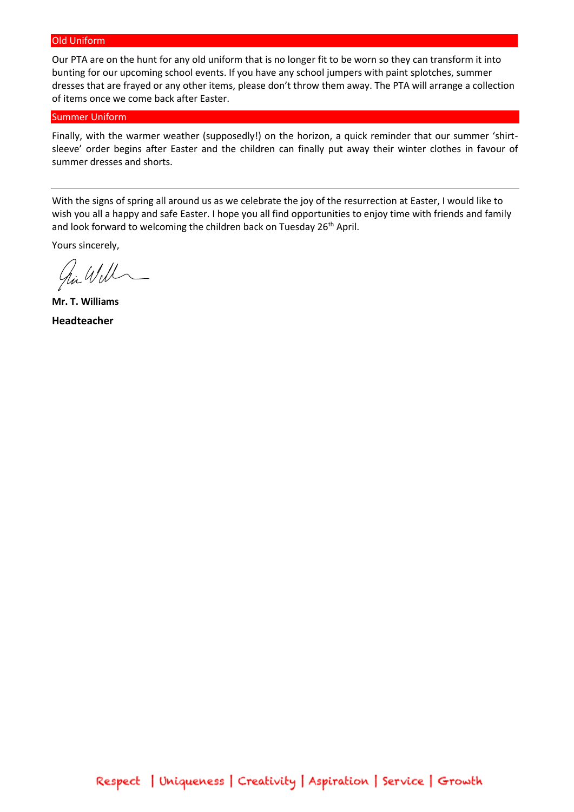#### Old Uniform

Our PTA are on the hunt for any old uniform that is no longer fit to be worn so they can transform it into bunting for our upcoming school events. If you have any school jumpers with paint splotches, summer dresses that are frayed or any other items, please don't throw them away. The PTA will arrange a collection of items once we come back after Easter.

#### Summer Uniform

Finally, with the warmer weather (supposedly!) on the horizon, a quick reminder that our summer 'shirtsleeve' order begins after Easter and the children can finally put away their winter clothes in favour of summer dresses and shorts.

With the signs of spring all around us as we celebrate the joy of the resurrection at Easter, I would like to wish you all a happy and safe Easter. I hope you all find opportunities to enjoy time with friends and family and look forward to welcoming the children back on Tuesday 26<sup>th</sup> April.

Yours sincerely,

hir Will

**Mr. T. Williams Headteacher**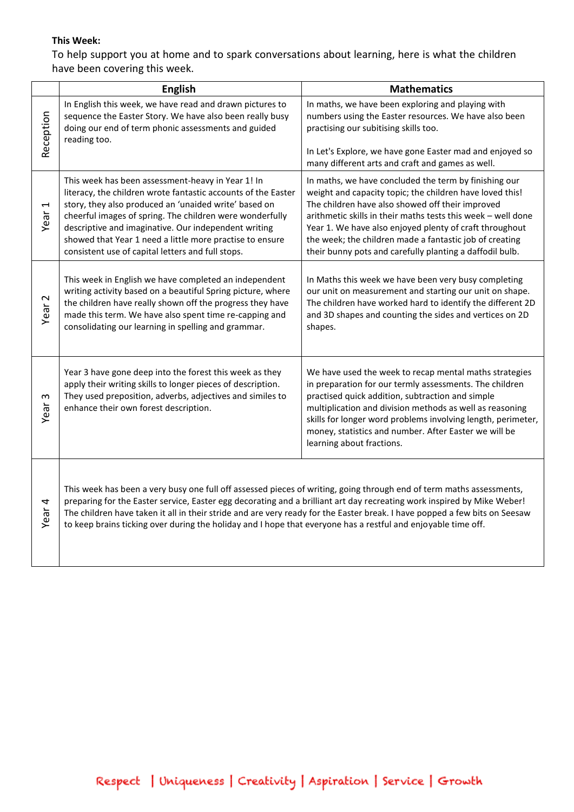## **This Week:**

To help support you at home and to spark conversations about learning, here is what the children have been covering this week.

|                   | <b>English</b>                                                                                                                                                                                                                                                                                                                                                                                                                                                                                 | <b>Mathematics</b>                                                                                                                                                                                                                                                                                                                                                                                                      |
|-------------------|------------------------------------------------------------------------------------------------------------------------------------------------------------------------------------------------------------------------------------------------------------------------------------------------------------------------------------------------------------------------------------------------------------------------------------------------------------------------------------------------|-------------------------------------------------------------------------------------------------------------------------------------------------------------------------------------------------------------------------------------------------------------------------------------------------------------------------------------------------------------------------------------------------------------------------|
| Reception         | In English this week, we have read and drawn pictures to<br>sequence the Easter Story. We have also been really busy<br>doing our end of term phonic assessments and guided<br>reading too.                                                                                                                                                                                                                                                                                                    | In maths, we have been exploring and playing with<br>numbers using the Easter resources. We have also been<br>practising our subitising skills too.<br>In Let's Explore, we have gone Easter mad and enjoyed so                                                                                                                                                                                                         |
|                   |                                                                                                                                                                                                                                                                                                                                                                                                                                                                                                | many different arts and craft and games as well.                                                                                                                                                                                                                                                                                                                                                                        |
| Ţ<br>Year         | This week has been assessment-heavy in Year 1! In<br>literacy, the children wrote fantastic accounts of the Easter<br>story, they also produced an 'unaided write' based on<br>cheerful images of spring. The children were wonderfully<br>descriptive and imaginative. Our independent writing<br>showed that Year 1 need a little more practise to ensure<br>consistent use of capital letters and full stops.                                                                               | In maths, we have concluded the term by finishing our<br>weight and capacity topic; the children have loved this!<br>The children have also showed off their improved<br>arithmetic skills in their maths tests this week - well done<br>Year 1. We have also enjoyed plenty of craft throughout<br>the week; the children made a fantastic job of creating<br>their bunny pots and carefully planting a daffodil bulb. |
| Year <sub>2</sub> | This week in English we have completed an independent<br>writing activity based on a beautiful Spring picture, where<br>the children have really shown off the progress they have<br>made this term. We have also spent time re-capping and<br>consolidating our learning in spelling and grammar.                                                                                                                                                                                             | In Maths this week we have been very busy completing<br>our unit on measurement and starting our unit on shape.<br>The children have worked hard to identify the different 2D<br>and 3D shapes and counting the sides and vertices on 2D<br>shapes.                                                                                                                                                                     |
| S<br>Year         | Year 3 have gone deep into the forest this week as they<br>apply their writing skills to longer pieces of description.<br>They used preposition, adverbs, adjectives and similes to<br>enhance their own forest description.                                                                                                                                                                                                                                                                   | We have used the week to recap mental maths strategies<br>in preparation for our termly assessments. The children<br>practised quick addition, subtraction and simple<br>multiplication and division methods as well as reasoning<br>skills for longer word problems involving length, perimeter,<br>money, statistics and number. After Easter we will be<br>learning about fractions.                                 |
| Year <sub>4</sub> | This week has been a very busy one full off assessed pieces of writing, going through end of term maths assessments,<br>preparing for the Easter service, Easter egg decorating and a brilliant art day recreating work inspired by Mike Weber!<br>The children have taken it all in their stride and are very ready for the Easter break. I have popped a few bits on Seesaw<br>to keep brains ticking over during the holiday and I hope that everyone has a restful and enjoyable time off. |                                                                                                                                                                                                                                                                                                                                                                                                                         |